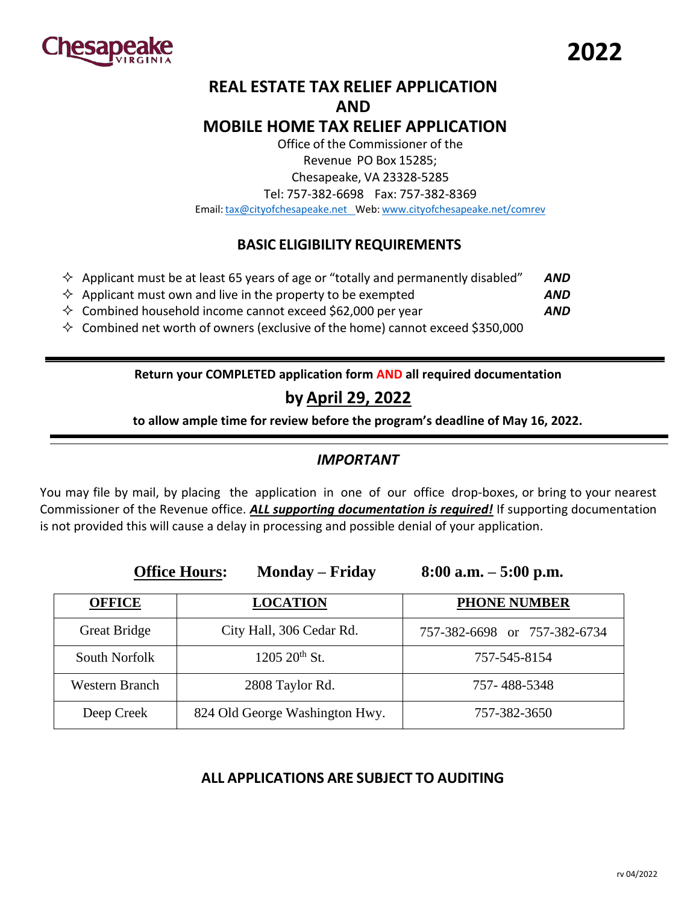

# **REAL ESTATE TAX RELIEF APPLICATION AND MOBILE HOME TAX RELIEF APPLICATION**

Office of the Commissioner of the Revenue PO Box 15285; Chesapeake, VA 23328-5285 Tel: 757-382-6698 Fax: 757-382-8369 Email: [tax@cityofchesapeake.net W](mailto:tax@cityofchesapeake.net)eb: [www.cityofchesapeake.net/comrev](http://www.cityofchesapeake.net/comrev)

## **BASIC ELIGIBILITY REQUIREMENTS**

- $\Diamond$  Applicant must be at least 65 years of age or "totally and permanently disabled" **AND**
- $\Diamond$  Applicant must own and live in the property to be exempted  $\triangle$  **AND**
- Combined household income cannot exceed \$62,000 per year *AND*
- $\Diamond$  Combined net worth of owners (exclusive of the home) cannot exceed \$350,000

## **Return your COMPLETED application form AND all required documentation**

## **by April 29, 2022**

## **to allow ample time for review before the program's deadline of May 16, 2022.**

## *IMPORTANT*

You may file by mail, by placing the application in one of our office drop-boxes, or bring to your nearest Commissioner of the Revenue office. *ALL supporting documentation is required!* If supporting documentation is not provided this will cause a delay in processing and possible denial of your application.

**Office Hours: Monday – Friday 8:00 a.m. – 5:00 p.m.**

| <b>OFFICE</b>         | <b>LOCATION</b>                | <b>PHONE NUMBER</b>          |
|-----------------------|--------------------------------|------------------------------|
| <b>Great Bridge</b>   | City Hall, 306 Cedar Rd.       | 757-382-6698 or 757-382-6734 |
| South Norfolk         | $1205 \ 20$ <sup>th</sup> St.  | 757-545-8154                 |
| <b>Western Branch</b> | 2808 Taylor Rd.                | 757-488-5348                 |
| Deep Creek            | 824 Old George Washington Hwy. | 757-382-3650                 |

## **ALL APPLICATIONS ARE SUBJECT TO AUDITING**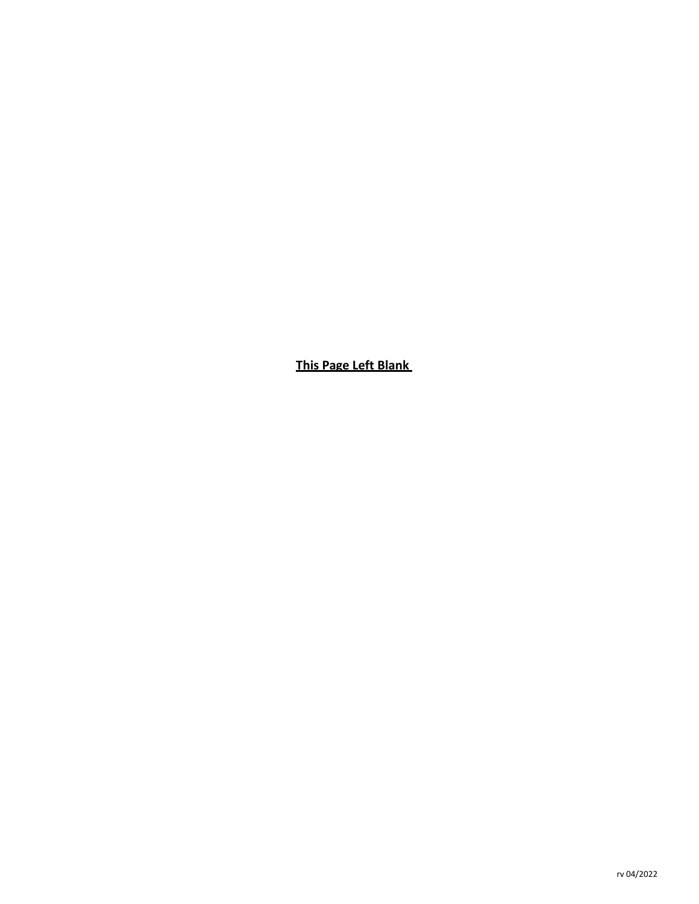**This Page Left Blank**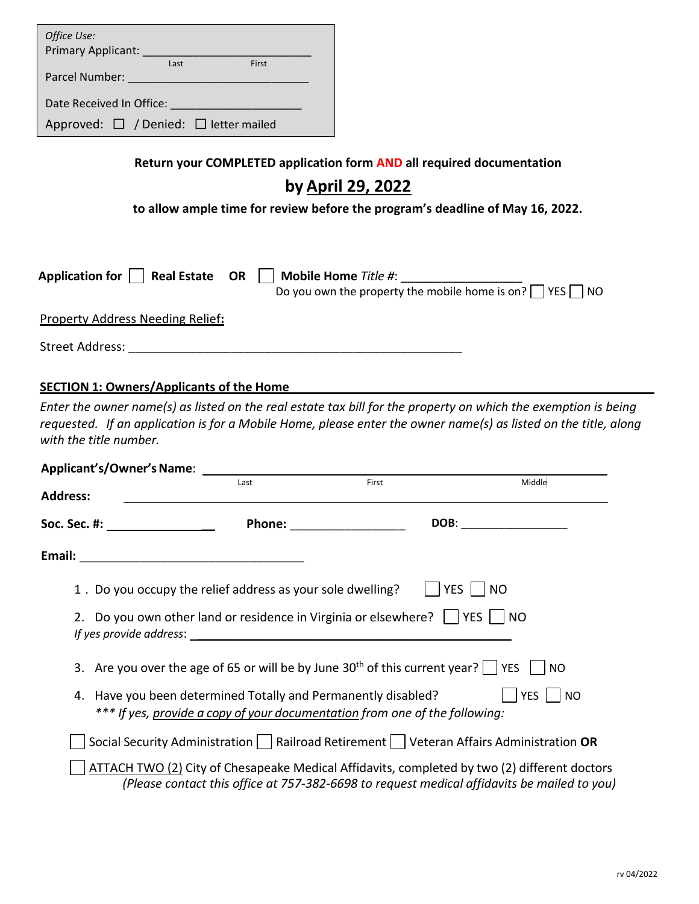| Office Use:            |                                                                                                                                                                                                                                   |                   |                                                                     |
|------------------------|-----------------------------------------------------------------------------------------------------------------------------------------------------------------------------------------------------------------------------------|-------------------|---------------------------------------------------------------------|
|                        |                                                                                                                                                                                                                                   |                   |                                                                     |
|                        | Parcel Number: National Parcel Number:                                                                                                                                                                                            |                   |                                                                     |
|                        | Date Received In Office: ________________________                                                                                                                                                                                 |                   |                                                                     |
|                        | Approved: $\Box$ / Denied: $\Box$ letter mailed                                                                                                                                                                                   |                   |                                                                     |
|                        | Return your COMPLETED application form AND all required documentation                                                                                                                                                             |                   |                                                                     |
|                        |                                                                                                                                                                                                                                   | by April 29, 2022 |                                                                     |
|                        | to allow ample time for review before the program's deadline of May 16, 2022.                                                                                                                                                     |                   |                                                                     |
|                        |                                                                                                                                                                                                                                   |                   |                                                                     |
|                        |                                                                                                                                                                                                                                   |                   |                                                                     |
|                        | Application for     Real Estate OR     Mobile Home Title #: ____________________                                                                                                                                                  |                   |                                                                     |
|                        |                                                                                                                                                                                                                                   |                   | Do you own the property the mobile home is on? $\Box$ YES $\Box$ NO |
|                        | Property Address Needing Relief:                                                                                                                                                                                                  |                   |                                                                     |
|                        |                                                                                                                                                                                                                                   |                   |                                                                     |
|                        |                                                                                                                                                                                                                                   |                   |                                                                     |
|                        | <b>SECTION 1: Owners/Applicants of the Home</b>                                                                                                                                                                                   |                   |                                                                     |
|                        | Enter the owner name(s) as listed on the real estate tax bill for the property on which the exemption is being<br>requested. If an application is for a Mobile Home, please enter the owner name(s) as listed on the title, along |                   |                                                                     |
| with the title number. |                                                                                                                                                                                                                                   |                   |                                                                     |
|                        | Applicant's/Owner's Name: ________                                                                                                                                                                                                |                   |                                                                     |
| <b>Address:</b>        | Last                                                                                                                                                                                                                              | First             | Middle                                                              |
|                        |                                                                                                                                                                                                                                   |                   |                                                                     |
| Soc. Sec. #:           | Phone:                                                                                                                                                                                                                            | DOB:              |                                                                     |
|                        |                                                                                                                                                                                                                                   |                   |                                                                     |
|                        | 1. Do you occupy the relief address as your sole dwelling?                                                                                                                                                                        |                   | YES  <br><b>NO</b>                                                  |
| 2.                     | Do you own other land or residence in Virginia or elsewhere? $\Box$ YES                                                                                                                                                           |                   | NO                                                                  |
|                        |                                                                                                                                                                                                                                   |                   |                                                                     |
|                        | 3. Are you over the age of 65 or will be by June 30 <sup>th</sup> of this current year? $ $ YES                                                                                                                                   |                   | <b>NO</b>                                                           |
|                        | 4. Have you been determined Totally and Permanently disabled?<br>*** If yes, provide a copy of your documentation from one of the following:                                                                                      |                   | YES  <br><b>NO</b>                                                  |
|                        |                                                                                                                                                                                                                                   |                   |                                                                     |
|                        | Social Security Administration   Railroad Retirement   Veteran Affairs Administration OR                                                                                                                                          |                   |                                                                     |
|                        | ATTACH TWO (2) City of Chesapeake Medical Affidavits, completed by two (2) different doctors<br>(Please contact this office at 757-382-6698 to request medical affidavits be mailed to you)                                       |                   |                                                                     |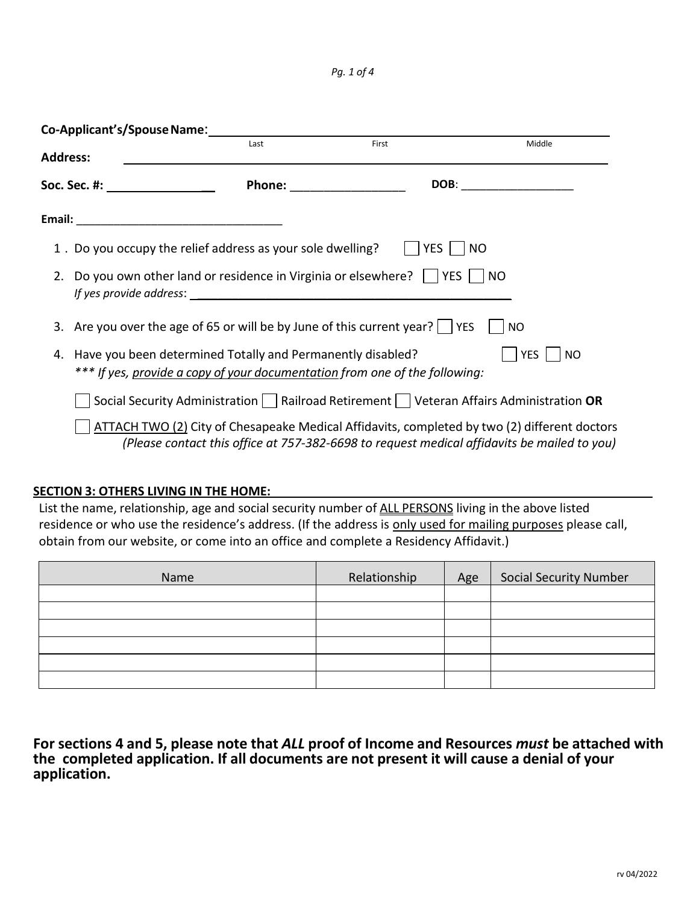| Pα. | $\mathbf{I}$ | оt |
|-----|--------------|----|
|-----|--------------|----|

|                                                      | Co-Applicant's/Spouse Name: www.com                                                                                                          |                         |       |                                                                                                                                                                                             |
|------------------------------------------------------|----------------------------------------------------------------------------------------------------------------------------------------------|-------------------------|-------|---------------------------------------------------------------------------------------------------------------------------------------------------------------------------------------------|
| <b>Address:</b><br>Soc. Sec. #: ____________________ |                                                                                                                                              | Last                    | First | Middle                                                                                                                                                                                      |
|                                                      |                                                                                                                                              | Phone: ________________ |       |                                                                                                                                                                                             |
|                                                      |                                                                                                                                              |                         |       |                                                                                                                                                                                             |
|                                                      | 1. Do you occupy the relief address as your sole dwelling?                                                                                   |                         |       | YES  <br><b>NO</b>                                                                                                                                                                          |
| 2.                                                   | Do you own other land or residence in Virginia or elsewhere?     YES     NO                                                                  |                         |       |                                                                                                                                                                                             |
|                                                      | 3. Are you over the age of 65 or will be by June of this current year? $\vert \vert$ YES                                                     |                         |       | <b>NO</b>                                                                                                                                                                                   |
|                                                      | 4. Have you been determined Totally and Permanently disabled?<br>*** If yes, provide a copy of your documentation from one of the following: |                         |       | YES  <br><b>NO</b>                                                                                                                                                                          |
|                                                      |                                                                                                                                              |                         |       | Social Security Administration     Railroad Retirement     Veteran Affairs Administration OR                                                                                                |
|                                                      |                                                                                                                                              |                         |       | ATTACH TWO (2) City of Chesapeake Medical Affidavits, completed by two (2) different doctors<br>(Please contact this office at 757-382-6698 to request medical affidavits be mailed to you) |

#### **SECTION 3: OTHERS LIVING IN THE HOME:**

List the name, relationship, age and social security number of ALL PERSONS living in the above listed residence or who use the residence's address. (If the address is only used for mailing purposes please call, obtain from our website, or come into an office and complete a Residency Affidavit.)

| Name | Relationship | Age | <b>Social Security Number</b> |
|------|--------------|-----|-------------------------------|
|      |              |     |                               |
|      |              |     |                               |
|      |              |     |                               |
|      |              |     |                               |
|      |              |     |                               |
|      |              |     |                               |

**For sections 4 and 5, please note that** *ALL* **proof of Income and Resources** *must* **be attached with the completed application. If all documents are not present it will cause a denial of your application.**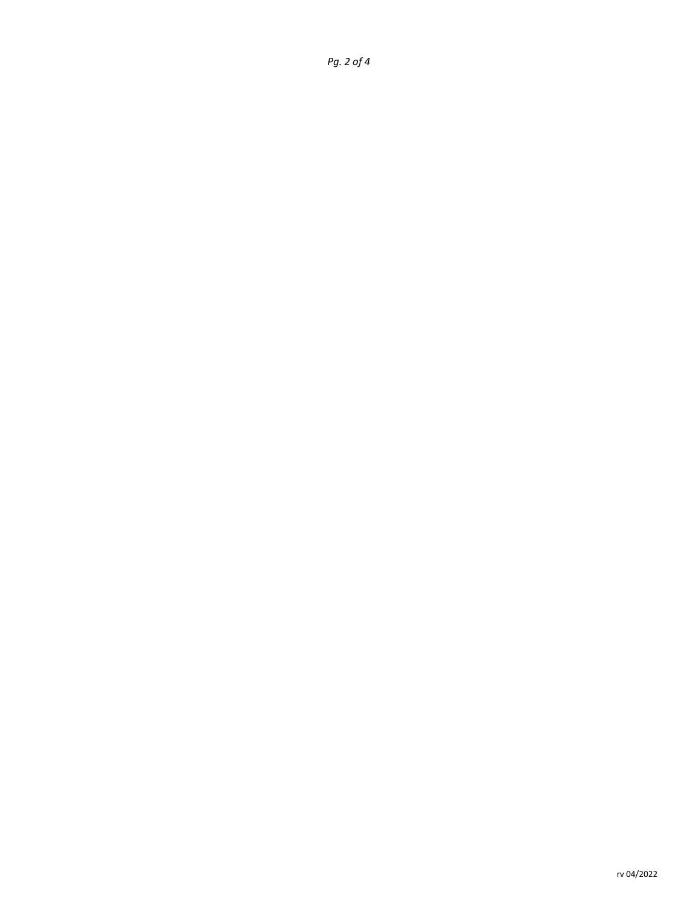## *Pg. 2 of 4*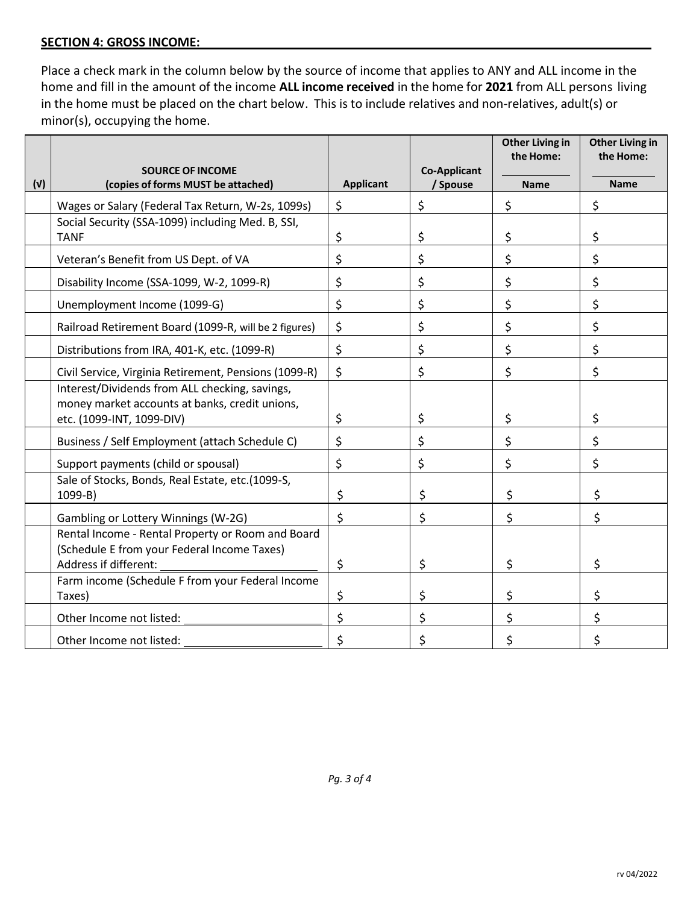#### **SECTION 4: GROSS INCOME:**

Place a check mark in the column below by the source of income that applies to ANY and ALL income in the home and fill in the amount of the income **ALL income received** in the home for **2021** from ALL persons living in the home must be placed on the chart below. This is to include relatives and non-relatives, adult(s) or minor(s), occupying the home.

|     | <b>SOURCE OF INCOME</b>                                                                          |                  | <b>Co-Applicant</b> | <b>Other Living in</b><br>the Home: | <b>Other Living in</b><br>the Home: |
|-----|--------------------------------------------------------------------------------------------------|------------------|---------------------|-------------------------------------|-------------------------------------|
| (v) | (copies of forms MUST be attached)                                                               | <b>Applicant</b> | / Spouse            | <b>Name</b>                         | <b>Name</b>                         |
|     | Wages or Salary (Federal Tax Return, W-2s, 1099s)                                                | \$               | \$                  | \$                                  | \$                                  |
|     | Social Security (SSA-1099) including Med. B, SSI,<br><b>TANF</b>                                 | \$               | \$                  | \$                                  | \$                                  |
|     | Veteran's Benefit from US Dept. of VA                                                            | \$               | \$                  | \$                                  | \$                                  |
|     | Disability Income (SSA-1099, W-2, 1099-R)                                                        | \$               | \$                  | \$                                  | \$                                  |
|     | Unemployment Income (1099-G)                                                                     | \$               | \$                  | \$                                  | \$                                  |
|     | Railroad Retirement Board (1099-R, will be 2 figures)                                            | \$               | \$                  | \$                                  | \$                                  |
|     | Distributions from IRA, 401-K, etc. (1099-R)                                                     | \$               | \$                  | \$                                  | \$                                  |
|     | Civil Service, Virginia Retirement, Pensions (1099-R)                                            | \$               | \$                  | \$                                  | \$                                  |
|     | Interest/Dividends from ALL checking, savings,<br>money market accounts at banks, credit unions, |                  |                     |                                     |                                     |
|     | etc. (1099-INT, 1099-DIV)                                                                        | \$               | \$                  | \$                                  | \$                                  |
|     | Business / Self Employment (attach Schedule C)                                                   | \$               | \$                  | \$                                  | \$                                  |
|     | Support payments (child or spousal)                                                              | \$               | \$                  | \$                                  | \$                                  |
|     | Sale of Stocks, Bonds, Real Estate, etc.(1099-S,<br>1099-B)                                      | \$               | \$                  | \$                                  | \$                                  |
|     | Gambling or Lottery Winnings (W-2G)                                                              | \$               | \$                  | \$                                  | \$                                  |
|     | Rental Income - Rental Property or Room and Board<br>(Schedule E from your Federal Income Taxes) |                  |                     |                                     |                                     |
|     | Address if different:                                                                            | \$               | \$                  | \$                                  | \$                                  |
|     | Farm income (Schedule F from your Federal Income<br>Taxes)                                       | \$               | \$                  | \$                                  | \$                                  |
|     | Other Income not listed:                                                                         | \$               | \$                  | \$                                  | \$                                  |
|     | Other Income not listed:                                                                         | \$               | \$                  | \$                                  | \$                                  |